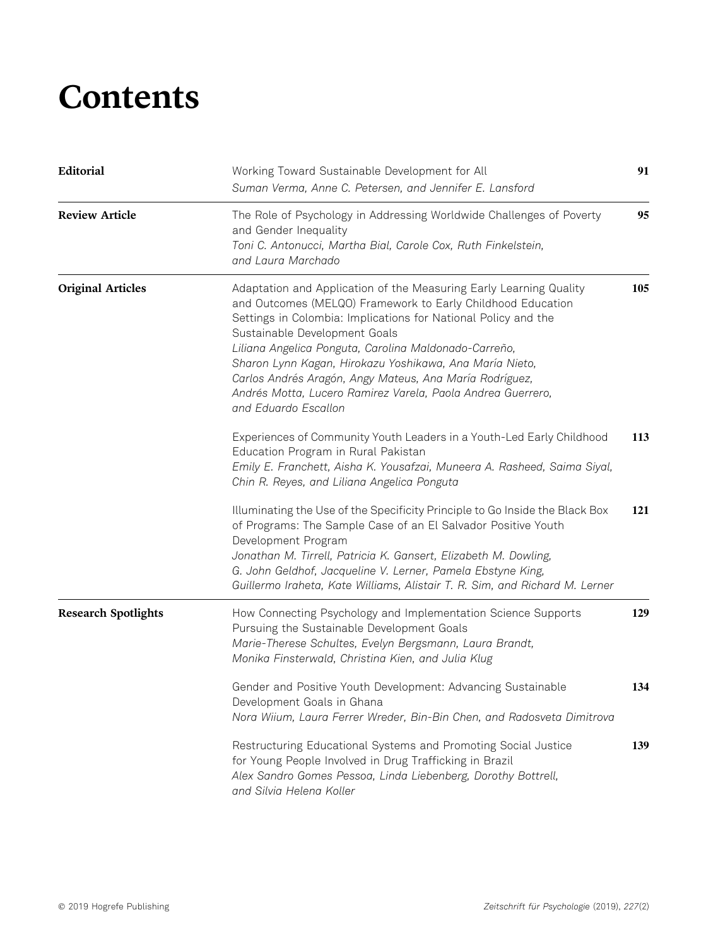## **Contents**

| Editorial                  | Working Toward Sustainable Development for All<br>Suman Verma, Anne C. Petersen, and Jennifer E. Lansford                                                                                                                                                                                                                                                                                                                                                                                                  | 91  |
|----------------------------|------------------------------------------------------------------------------------------------------------------------------------------------------------------------------------------------------------------------------------------------------------------------------------------------------------------------------------------------------------------------------------------------------------------------------------------------------------------------------------------------------------|-----|
| <b>Review Article</b>      | The Role of Psychology in Addressing Worldwide Challenges of Poverty<br>and Gender Inequality<br>Toni C. Antonucci, Martha Bial, Carole Cox, Ruth Finkelstein,<br>and Laura Marchado                                                                                                                                                                                                                                                                                                                       | 95  |
| <b>Original Articles</b>   | Adaptation and Application of the Measuring Early Learning Quality<br>and Outcomes (MELQO) Framework to Early Childhood Education<br>Settings in Colombia: Implications for National Policy and the<br>Sustainable Development Goals<br>Liliana Angelica Ponguta, Carolina Maldonado-Carreño,<br>Sharon Lynn Kagan, Hirokazu Yoshikawa, Ana María Nieto,<br>Carlos Andrés Aragón, Angy Mateus, Ana María Rodríguez,<br>Andrés Motta, Lucero Ramirez Varela, Paola Andrea Guerrero,<br>and Eduardo Escallon | 105 |
|                            | Experiences of Community Youth Leaders in a Youth-Led Early Childhood<br>Education Program in Rural Pakistan<br>Emily E. Franchett, Aisha K. Yousafzai, Muneera A. Rasheed, Saima Siyal,<br>Chin R. Reyes, and Liliana Angelica Ponguta                                                                                                                                                                                                                                                                    | 113 |
|                            | Illuminating the Use of the Specificity Principle to Go Inside the Black Box<br>of Programs: The Sample Case of an El Salvador Positive Youth<br>Development Program<br>Jonathan M. Tirrell, Patricia K. Gansert, Elizabeth M. Dowling,<br>G. John Geldhof, Jacqueline V. Lerner, Pamela Ebstyne King,<br>Guillermo Iraheta, Kate Williams, Alistair T. R. Sim, and Richard M. Lerner                                                                                                                      | 121 |
| <b>Research Spotlights</b> | How Connecting Psychology and Implementation Science Supports<br>Pursuing the Sustainable Development Goals<br>Marie-Therese Schultes, Evelyn Bergsmann, Laura Brandt,<br>Monika Finsterwald, Christina Kien, and Julia Klug                                                                                                                                                                                                                                                                               | 129 |
|                            | Gender and Positive Youth Development: Advancing Sustainable<br>Development Goals in Ghana<br>Nora Wiium, Laura Ferrer Wreder, Bin-Bin Chen, and Radosveta Dimitrova                                                                                                                                                                                                                                                                                                                                       | 134 |
|                            | Restructuring Educational Systems and Promoting Social Justice<br>for Young People Involved in Drug Trafficking in Brazil<br>Alex Sandro Gomes Pessoa, Linda Liebenberg, Dorothy Bottrell,<br>and Silvia Helena Koller                                                                                                                                                                                                                                                                                     | 139 |